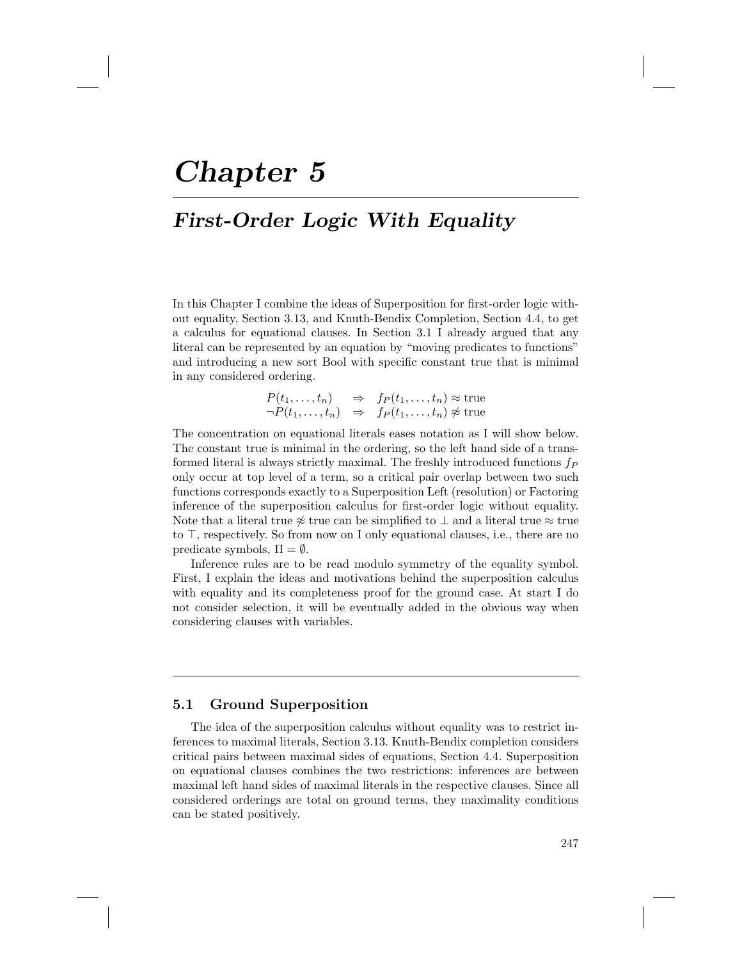# Chapter 5

# First-Order Logic With Equality

In this Chapter I combine the ideas of Superposition for first-order logic without equality, Section 3.13, and Knuth-Bendix Completion, Section 4.4, to get a calculus for equational clauses. In Section 3.1 I already argued that any literal can be represented by an equation by "moving predicates to functions" and introducing a new sort Bool with specific constant true that is minimal in any considered ordering.

> $P(t_1, \ldots, t_n) \Rightarrow f_P(t_1, \ldots, t_n) \approx \text{true}$  $\neg P(t_1,\ldots,t_n) \Rightarrow f_P(t_1,\ldots,t_n) \not\approx \text{true}$

The concentration on equational literals eases notation as I will show below. The constant true is minimal in the ordering, so the left hand side of a transformed literal is always strictly maximal. The freshly introduced functions  $f_P$ only occur at top level of a term, so a critical pair overlap between two such functions corresponds exactly to a Superposition Left (resolution) or Factoring inference of the superposition calculus for first-order logic without equality. Note that a literal true  $\frac{2}{3}$  true can be simplified to  $\perp$  and a literal true  $\approx$  true to  $\top$ , respectively. So from now on I only equational clauses, i.e., there are no predicate symbols,  $\Pi = \emptyset$ .

Inference rules are to be read modulo symmetry of the equality symbol. First, I explain the ideas and motivations behind the superposition calculus with equality and its completeness proof for the ground case. At start I do not consider selection, it will be eventually added in the obvious way when considering clauses with variables.

# 5.1 Ground Superposition

The idea of the superposition calculus without equality was to restrict inferences to maximal literals, Section 3.13. Knuth-Bendix completion considers critical pairs between maximal sides of equations, Section 4.4. Superposition on equational clauses combines the two restrictions: inferences are between maximal left hand sides of maximal literals in the respective clauses. Since all considered orderings are total on ground terms, they maximality conditions can be stated positively.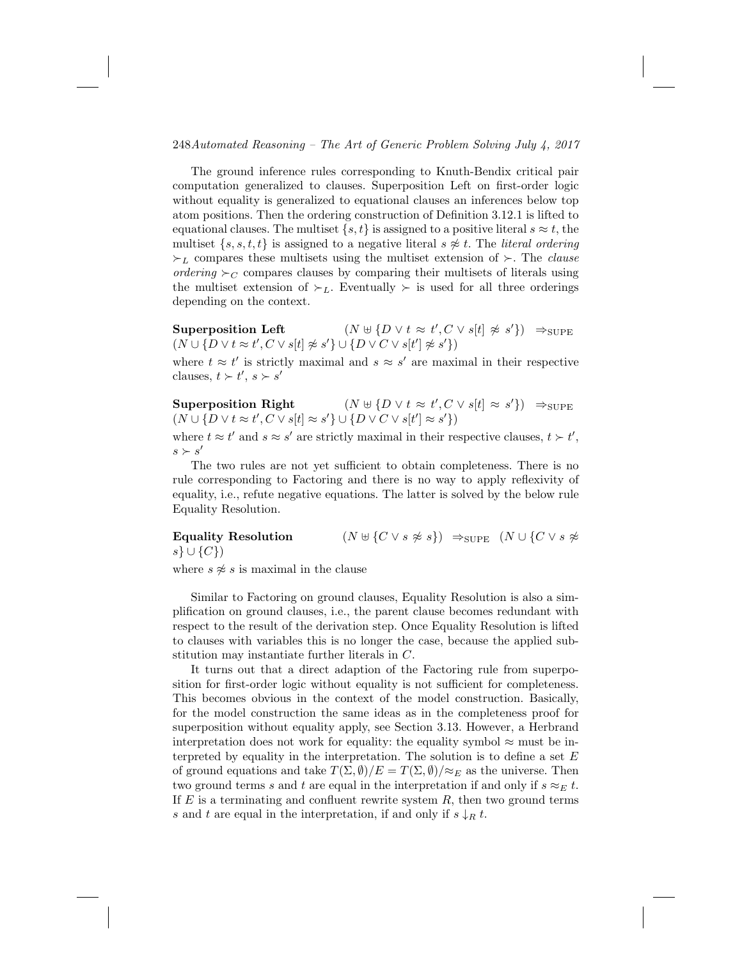The ground inference rules corresponding to Knuth-Bendix critical pair computation generalized to clauses. Superposition Left on first-order logic without equality is generalized to equational clauses an inferences below top atom positions. Then the ordering construction of Definition 3.12.1 is lifted to equational clauses. The multiset  $\{s, t\}$  is assigned to a positive literal  $s \approx t$ , the multiset  $\{s, s, t, t\}$  is assigned to a negative literal  $s \not\approx t$ . The *literal ordering*  $\succ_L$  compares these multisets using the multiset extension of  $\succ$ . The *clause* ordering  $\succ_C$  compares clauses by comparing their multisets of literals using the multiset extension of  $\succ_L$ . Eventually  $\succ$  is used for all three orderings depending on the context.

Superposition Left  $(N \oplus \{D \lor t \approx t', C \lor s[t] \not\approx s'\}) \Rightarrow_{\text{SUPE}}$  $(N \cup \{D \lor t \approx t', C \lor s[t] \not\approx s'\} \cup \{D \lor C \lor s[t'] \not\approx s'\})$ 

where  $t \approx t'$  is strictly maximal and  $s \approx s'$  are maximal in their respective clauses,  $t \succ t'$ ,  $s \succ s'$ 

Superposition Right  $\langle C \vee s[t] \approx s' \rangle \rightarrow_{\text{SUPE}}$  $(N \cup \{D \vee t \approx t', C \vee s[t] \approx s'\} \cup \{D \vee C \vee s[t'] \approx s'\})$ 

where  $t \approx t'$  and  $s \approx s'$  are strictly maximal in their respective clauses,  $t \succ t'$ ,  $s \succ s'$ 

The two rules are not yet sufficient to obtain completeness. There is no rule corresponding to Factoring and there is no way to apply reflexivity of equality, i.e., refute negative equations. The latter is solved by the below rule Equality Resolution.

Equality Resolution  $(N \uplus \{C \vee s \not\approx s\}) \Rightarrow_{\text{SUPE}} (N \cup \{C \vee s \not\approx s\})$  $s\} \cup \{C\})$ 

where  $s \not\approx s$  is maximal in the clause

Similar to Factoring on ground clauses, Equality Resolution is also a simplification on ground clauses, i.e., the parent clause becomes redundant with respect to the result of the derivation step. Once Equality Resolution is lifted to clauses with variables this is no longer the case, because the applied substitution may instantiate further literals in C.

It turns out that a direct adaption of the Factoring rule from superposition for first-order logic without equality is not sufficient for completeness. This becomes obvious in the context of the model construction. Basically, for the model construction the same ideas as in the completeness proof for superposition without equality apply, see Section 3.13. However, a Herbrand interpretation does not work for equality: the equality symbol  $\approx$  must be interpreted by equality in the interpretation. The solution is to define a set  $E$ of ground equations and take  $T(\Sigma, \emptyset)/E = T(\Sigma, \emptyset)/\approx_E$  as the universe. Then two ground terms s and t are equal in the interpretation if and only if  $s \approx_E t$ . If  $E$  is a terminating and confluent rewrite system  $R$ , then two ground terms s and t are equal in the interpretation, if and only if  $s \downarrow_R t$ .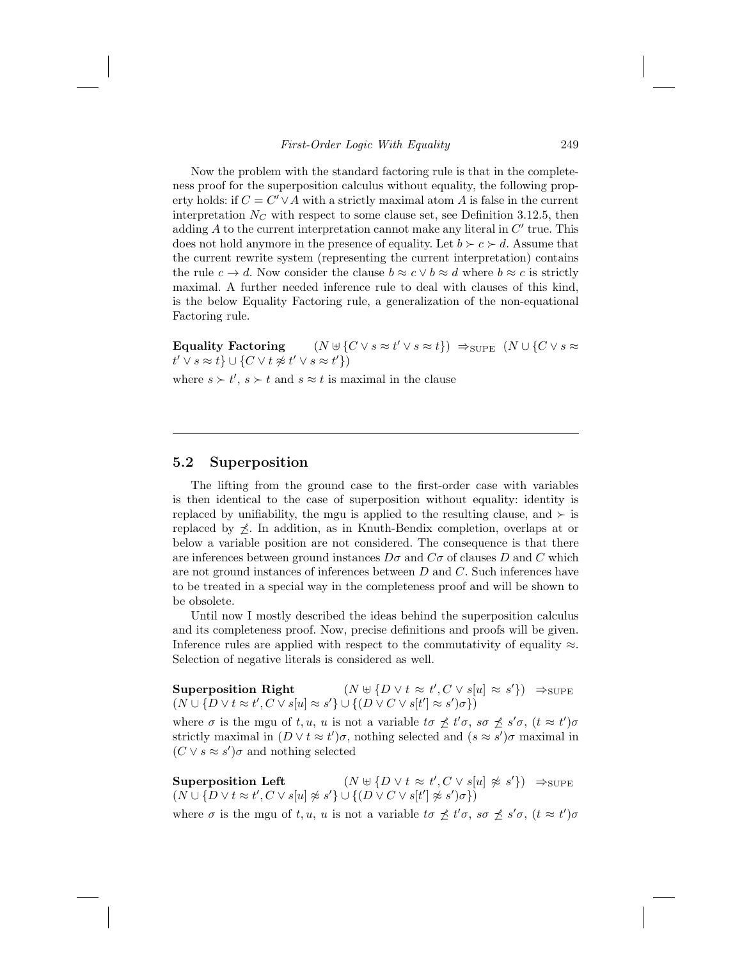Now the problem with the standard factoring rule is that in the completeness proof for the superposition calculus without equality, the following property holds: if  $C = C' \vee A$  with a strictly maximal atom A is false in the current interpretation  $N_C$  with respect to some clause set, see Definition 3.12.5, then adding  $A$  to the current interpretation cannot make any literal in  $C'$  true. This does not hold anymore in the presence of equality. Let  $b \succ c \succ d$ . Assume that the current rewrite system (representing the current interpretation) contains the rule  $c \to d$ . Now consider the clause  $b \approx c \lor b \approx d$  where  $b \approx c$  is strictly maximal. A further needed inference rule to deal with clauses of this kind, is the below Equality Factoring rule, a generalization of the non-equational Factoring rule.

Equality Factoring  $(N \cup \{C \vee s \approx t' \vee s \approx t\}) \Rightarrow_{\text{SUPE}} (N \cup \{C \vee s \approx t\})$  $t' \vee s \approx t \} \cup \{ C \vee t \not\approx t' \vee s \approx t' \})$ 

where  $s \succ t'$ ,  $s \succ t$  and  $s \approx t$  is maximal in the clause

## 5.2 Superposition

The lifting from the ground case to the first-order case with variables is then identical to the case of superposition without equality: identity is replaced by unifiability, the mgu is applied to the resulting clause, and  $\succ$  is replaced by  $\angle$ . In addition, as in Knuth-Bendix completion, overlaps at or below a variable position are not considered. The consequence is that there are inferences between ground instances  $D\sigma$  and  $C\sigma$  of clauses D and C which are not ground instances of inferences between  $D$  and  $C$ . Such inferences have to be treated in a special way in the completeness proof and will be shown to be obsolete.

Until now I mostly described the ideas behind the superposition calculus and its completeness proof. Now, precise definitions and proofs will be given. Inference rules are applied with respect to the commutativity of equality  $\approx$ . Selection of negative literals is considered as well.

Superposition Right  $(N \oplus \{D \lor t \approx t', C \lor s[u] \approx s'\}) \Rightarrow_{\text{SUPE}}$  $(N \cup \{D \lor t \approx t', C \lor s[u] \approx s'\} \cup \{(D \lor C \lor s[t'] \approx s')\sigma\})$ 

where  $\sigma$  is the mgu of t, u, u is not a variable  $t\sigma \npreceq t'\sigma$ ,  $s\sigma \npreceq s'\sigma$ ,  $(t \approx t')\sigma$ strictly maximal in  $(D \vee t \approx t')\sigma$ , nothing selected and  $(s \approx s')\sigma$  maximal in  $(C \vee s \approx s')\sigma$  and nothing selected

Superposition Left  $\langle C \vee s[u] \not\approx s' \rangle$   $\Rightarrow_{\text{SUPE}}$  $(N \cup \{D \vee t \approx t', C \vee s[u] \not\approx s'\} \cup \{(D \vee C \vee s[t'] \not\approx s')\sigma\})$ 

where  $\sigma$  is the mgu of t, u, u is not a variable  $t\sigma \npreceq t'\sigma$ ,  $s\sigma \npreceq s'\sigma$ ,  $(t \approx t')\sigma$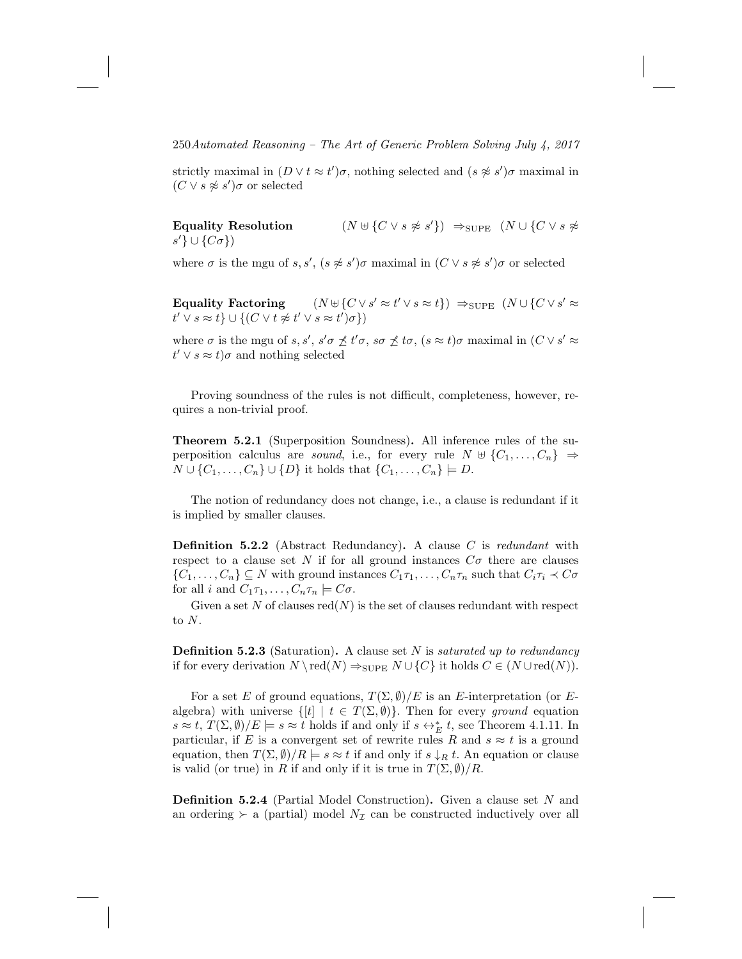strictly maximal in  $(D \vee t \approx t')\sigma$ , nothing selected and  $(s \not\approx s')\sigma$  maximal in  $(C \vee s \not\approx s')\sigma$  or selected

Equality Resolution  $(N \oplus \{C \vee s \not\approx s'\}) \Rightarrow_{\text{SUPE}} (N \cup \{C \vee s \not\approx s'\})$  $s'\}\cup\{C\sigma\})$ 

where  $\sigma$  is the mgu of s, s',  $(s \not\approx s')\sigma$  maximal in  $(C \vee s \not\approx s')\sigma$  or selected

Equality Factoring  $(y \approx t' \vee s \approx t)$   $\Rightarrow$   $_{\text{SUPE}} (N \cup \{C \vee s' \approx t\})$  $t' \vee s \approx t \} \cup \{ (C \vee t \not\approx t' \vee s \approx t') \sigma \})$ 

where  $\sigma$  is the mgu of s, s', s' $\sigma \nleq t' \sigma$ , so  $\nleq t \sigma$ ,  $(s \approx t) \sigma$  maximal in  $(C \vee s' \approx t')$  $t' \vee s \approx t$ ) $\sigma$  and nothing selected

Proving soundness of the rules is not difficult, completeness, however, requires a non-trivial proof.

Theorem 5.2.1 (Superposition Soundness). All inference rules of the superposition calculus are *sound*, i.e., for every rule  $N \oplus \{C_1, \ldots, C_n\} \Rightarrow$  $N \cup \{C_1, \ldots, C_n\} \cup \{D\}$  it holds that  $\{C_1, \ldots, C_n\} \models D$ .

The notion of redundancy does not change, i.e., a clause is redundant if it is implied by smaller clauses.

**Definition 5.2.2** (Abstract Redundancy). A clause  $C$  is redundant with respect to a clause set N if for all ground instances  $C\sigma$  there are clauses  $\{C_1,\ldots,C_n\} \subseteq N$  with ground instances  $C_1\tau_1,\ldots,C_n\tau_n$  such that  $C_i\tau_i \prec C\sigma$ for all i and  $C_1\tau_1,\ldots,C_n\tau_n \models C\sigma$ .

Given a set N of clauses  $red(N)$  is the set of clauses redundant with respect to N.

**Definition 5.2.3** (Saturation). A clause set  $N$  is *saturated up to redundancy* if for every derivation  $N \setminus \text{red}(N) \Rightarrow_{\text{SUPE}} N \cup \{C\}$  it holds  $C \in (N \cup \text{red}(N))$ .

For a set E of ground equations,  $T(\Sigma, \emptyset)/E$  is an E-interpretation (or Ealgebra) with universe  $\{[t] | t \in T(\Sigma, \emptyset)\}$ . Then for every ground equation  $s \approx t$ ,  $T(\Sigma, \emptyset)/E \models s \approx t$  holds if and only if  $s \leftrightarrow^*_{E} t$ , see Theorem 4.1.11. In particular, if E is a convergent set of rewrite rules R and  $s \approx t$  is a ground equation, then  $T(\Sigma, \emptyset)/R \models s \approx t$  if and only if  $s \downarrow_R t$ . An equation or clause is valid (or true) in R if and only if it is true in  $T(\Sigma, \emptyset)/R$ .

Definition 5.2.4 (Partial Model Construction). Given a clause set N and an ordering  $\succ$  a (partial) model  $N_{\mathcal{I}}$  can be constructed inductively over all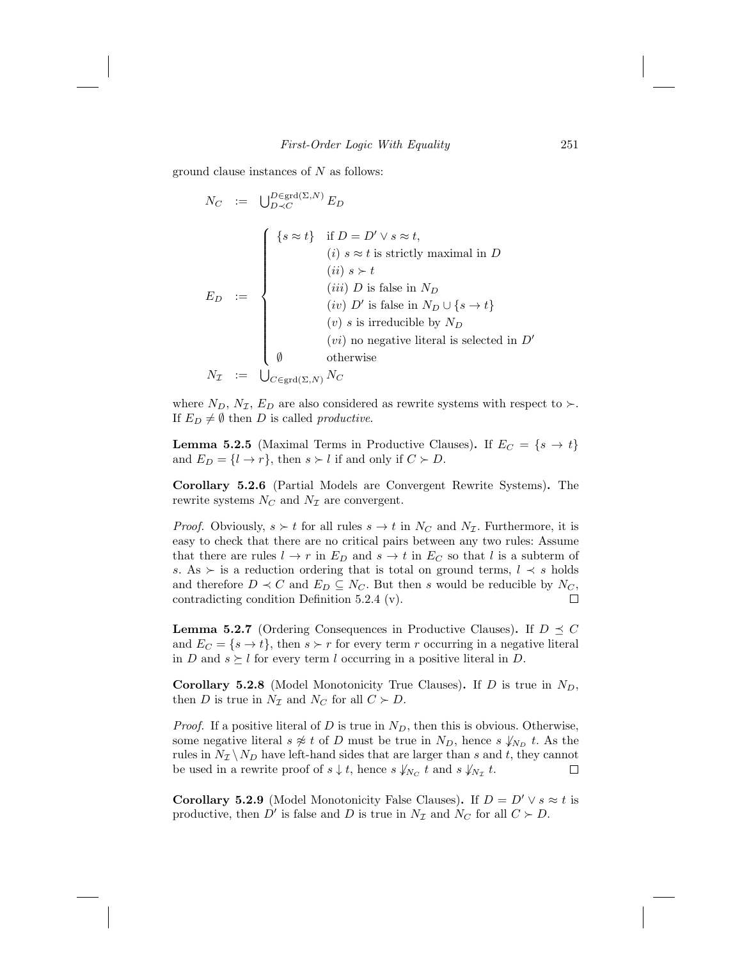ground clause instances of  $N$  as follows:

$$
N_C := \bigcup_{D \prec C}^{D \in \text{grd}(\Sigma, N)} E_D
$$
\n
$$
E_D := \begin{cases}\n\{s \approx t\} & \text{if } D = D' \lor s \approx t, \\
(i) & s \approx t \text{ is strictly maximal in } D \\
(ii) & s \succ t \\
(iii) & D \text{ is false in } N_D\n\end{cases}
$$
\n
$$
E_D := \begin{cases}\n(iv) & D' \text{ is false in } N_D \cup \{s \rightarrow t\} \\
(v) & s \text{ is irreducible by } N_D \\
(vi) & \text{no negative literal is selected in } D' \\
\emptyset & \text{otherwise}\n\end{cases}
$$
\n
$$
N_{\mathcal{I}} := \bigcup_{C \in \text{grd}(\Sigma, N)} N_C
$$

where  $N_D$ ,  $N_{\mathcal{I}}$ ,  $E_D$  are also considered as rewrite systems with respect to  $\succ$ . If  $E_D \neq \emptyset$  then D is called productive.

**Lemma 5.2.5** (Maximal Terms in Productive Clauses). If  $E_C = \{s \rightarrow t\}$ and  $E_D = \{l \rightarrow r\}$ , then  $s \succ l$  if and only if  $C \succ D$ .

Corollary 5.2.6 (Partial Models are Convergent Rewrite Systems). The rewrite systems  $N_C$  and  $N<sub>\mathcal{I}</sub>$  are convergent.

*Proof.* Obviously,  $s \succ t$  for all rules  $s \to t$  in  $N_C$  and  $N_{\mathcal{I}}$ . Furthermore, it is easy to check that there are no critical pairs between any two rules: Assume that there are rules  $l \to r$  in  $E_D$  and  $s \to t$  in  $E_C$  so that l is a subterm of s. As  $\succ$  is a reduction ordering that is total on ground terms,  $l \prec s$  holds and therefore  $D \prec C$  and  $E_D \subseteq N_C$ . But then s would be reducible by  $N_C$ , contradicting condition Definition 5.2.4 (v).  $\Box$ 

**Lemma 5.2.7** (Ordering Consequences in Productive Clauses). If  $D \preceq C$ and  $E_C = \{s \to t\}$ , then  $s \succ r$  for every term r occurring in a negative literal in D and  $s \succeq l$  for every term l occurring in a positive literal in D.

**Corollary 5.2.8** (Model Monotonicity True Clauses). If D is true in  $N_D$ , then D is true in  $N_{\mathcal{I}}$  and  $N_C$  for all  $C \succ D$ .

*Proof.* If a positive literal of D is true in  $N_D$ , then this is obvious. Otherwise, some negative literal  $s \not\approx t$  of D must be true in  $N_D$ , hence  $s \not\downarrow_{N_D} t$ . As the rules in  $N_{\mathcal{I}} \setminus N_D$  have left-hand sides that are larger than s and t, they cannot be used in a rewrite proof of  $s \downarrow t$ , hence  $s \downarrow_{N_C} t$  and  $s \downarrow_{N_{\mathcal{I}}} t$ .  $\Box$ 

**Corollary 5.2.9** (Model Monotonicity False Clauses). If  $D = D' \vee s \approx t$  is productive, then  $D'$  is false and D is true in  $N_{\mathcal{I}}$  and  $N_C$  for all  $C \succ D$ .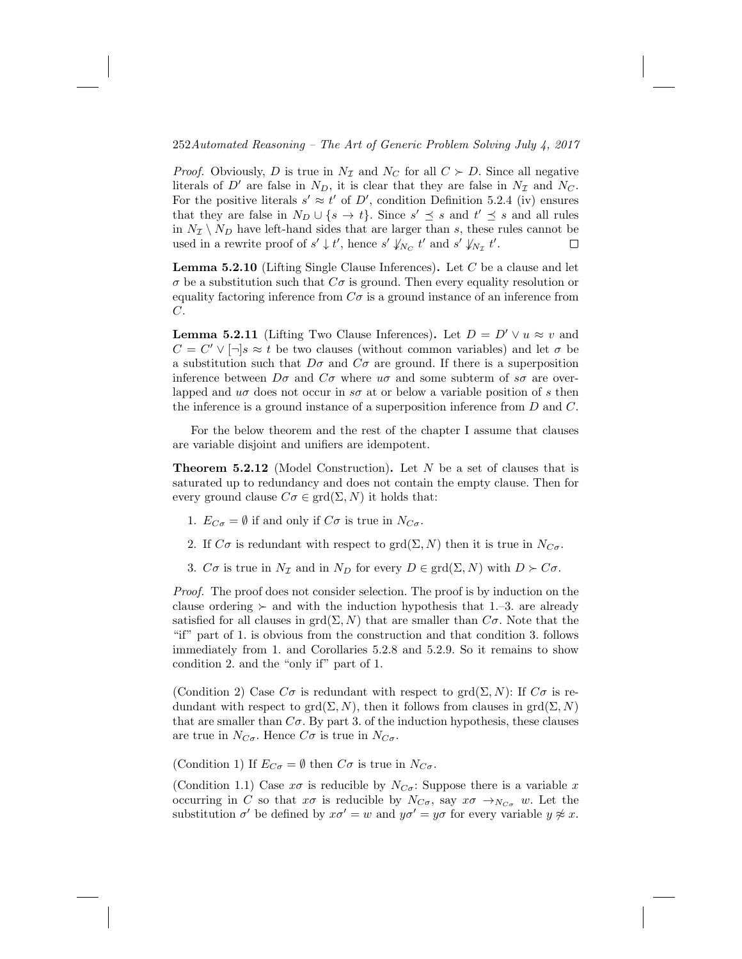*Proof.* Obviously, D is true in  $N<sub>\mathcal{I}</sub>$  and  $N<sub>C</sub>$  for all  $C \succ D$ . Since all negative literals of D' are false in  $N_D$ , it is clear that they are false in  $N<sub>\mathcal{I}</sub>$  and  $N_C$ . For the positive literals  $s' \approx t'$  of D', condition Definition 5.2.4 (iv) ensures that they are false in  $N_D \cup \{s \to t\}$ . Since  $s' \preceq s$  and  $t' \preceq s$  and all rules in  $N_{\mathcal{I}} \setminus N_D$  have left-hand sides that are larger than s, these rules cannot be used in a rewrite proof of  $s' \downarrow t'$ , hence  $s' \downarrow_{N_C} t'$  and  $s' \downarrow_{N_{\mathcal{I}}} t'$ .  $\Box$ 

**Lemma 5.2.10** (Lifting Single Clause Inferences). Let  $C$  be a clause and let  $\sigma$  be a substitution such that  $C\sigma$  is ground. Then every equality resolution or equality factoring inference from  $C\sigma$  is a ground instance of an inference from C.

**Lemma 5.2.11** (Lifting Two Clause Inferences). Let  $D = D' \vee u \approx v$  and  $C = C' \vee [\neg] s \approx t$  be two clauses (without common variables) and let  $\sigma$  be a substitution such that  $D\sigma$  and  $C\sigma$  are ground. If there is a superposition inference between  $D\sigma$  and  $C\sigma$  where  $u\sigma$  and some subterm of  $s\sigma$  are overlapped and  $u\sigma$  does not occur in s $\sigma$  at or below a variable position of s then the inference is a ground instance of a superposition inference from D and C.

For the below theorem and the rest of the chapter I assume that clauses are variable disjoint and unifiers are idempotent.

**Theorem 5.2.12** (Model Construction). Let N be a set of clauses that is saturated up to redundancy and does not contain the empty clause. Then for every ground clause  $C\sigma \in \text{grd}(\Sigma, N)$  it holds that:

- 1.  $E_{C\sigma} = \emptyset$  if and only if  $C\sigma$  is true in  $N_{C\sigma}$ .
- 2. If  $C\sigma$  is redundant with respect to grd( $\Sigma$ , N) then it is true in  $N_{C\sigma}$ .
- 3.  $C\sigma$  is true in  $N_{\mathcal{I}}$  and in  $N_D$  for every  $D \in \text{grd}(\Sigma, N)$  with  $D \succ C\sigma$ .

Proof. The proof does not consider selection. The proof is by induction on the clause ordering  $\succ$  and with the induction hypothesis that 1.–3. are already satisfied for all clauses in  $\text{grd}(\Sigma, N)$  that are smaller than  $C\sigma$ . Note that the "if" part of 1. is obvious from the construction and that condition 3. follows immediately from 1. and Corollaries 5.2.8 and 5.2.9. So it remains to show condition 2. and the "only if" part of 1.

(Condition 2) Case  $C\sigma$  is redundant with respect to grd $(\Sigma, N)$ : If  $C\sigma$  is redundant with respect to grd $(\Sigma, N)$ , then it follows from clauses in grd $(\Sigma, N)$ that are smaller than  $C\sigma$ . By part 3. of the induction hypothesis, these clauses are true in  $N_{C\sigma}$ . Hence  $C\sigma$  is true in  $N_{C\sigma}$ .

(Condition 1) If  $E_{C\sigma} = \emptyset$  then  $C\sigma$  is true in  $N_{C\sigma}$ .

(Condition 1.1) Case  $x\sigma$  is reducible by  $N_{C\sigma}$ : Suppose there is a variable x occurring in C so that  $x\sigma$  is reducible by  $N_{C\sigma}$ , say  $x\sigma \rightarrow_{N_{C\sigma}} w$ . Let the substitution  $\sigma'$  be defined by  $x\sigma' = w$  and  $y\sigma' = y\sigma$  for every variable  $y \not\approx x$ .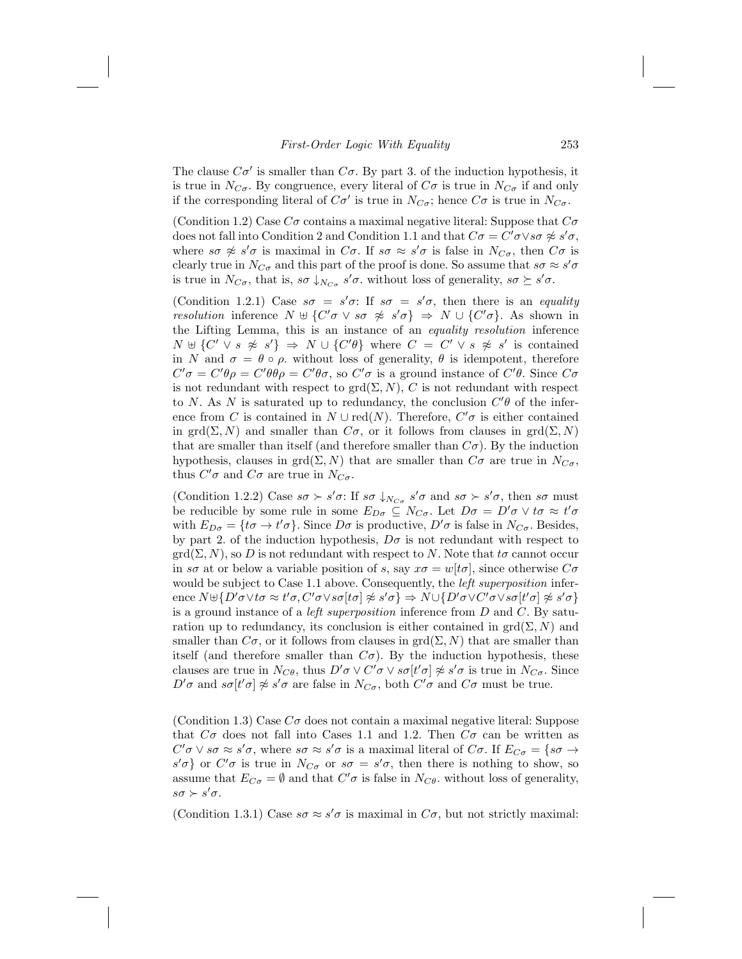### First-Order Logic With Equality 253

The clause  $C\sigma'$  is smaller than  $C\sigma$ . By part 3. of the induction hypothesis, it is true in  $N_{C_{\sigma}}$ . By congruence, every literal of  $C_{\sigma}$  is true in  $N_{C_{\sigma}}$  if and only if the corresponding literal of  $C\sigma'$  is true in  $N_{C\sigma}$ ; hence  $C\sigma$  is true in  $N_{C\sigma}$ .

(Condition 1.2) Case  $C\sigma$  contains a maximal negative literal: Suppose that  $C\sigma$ does not fall into Condition 2 and Condition 1.1 and that  $C\sigma = C'\sigma \vee s\sigma \not\approx s'\sigma$ , where  $s\sigma \not\approx s'\sigma$  is maximal in  $C\sigma$ . If  $s\sigma \approx s'\sigma$  is false in  $N_{C\sigma}$ , then  $C\sigma$  is clearly true in  $N_{C\sigma}$  and this part of the proof is done. So assume that  $s\sigma \approx s'\sigma$ is true in  $N_{C\sigma}$ , that is,  $s\sigma \downarrow_{N_{C\sigma}} s'\sigma$ . without loss of generality,  $s\sigma \succeq s'\sigma$ .

(Condition 1.2.1) Case  $s\sigma = s'\sigma$ : If  $s\sigma = s'\sigma$ , then there is an equality resolution inference  $N \oplus \{C'\sigma \lor s\sigma \not\approx s'\sigma\} \Rightarrow N \cup \{C'\sigma\}$ . As shown in the Lifting Lemma, this is an instance of an equality resolution inference  $N \oplus \{C' \vee s \not\approx s'\} \Rightarrow N \cup \{C'\theta\}$  where  $C = C' \vee s \not\approx s'$  is contained in N and  $\sigma = \theta \circ \rho$ , without loss of generality,  $\theta$  is idempotent, therefore  $C'\sigma = C'\theta\rho = C'\theta\sigma$ , so  $C'\sigma$  is a ground instance of  $C'\theta$ . Since  $C\sigma$ is not redundant with respect to  $\text{grd}(\Sigma, N)$ , C is not redundant with respect to N. As N is saturated up to redundancy, the conclusion  $C'\theta$  of the inference from C is contained in  $N \cup \text{red}(N)$ . Therefore,  $C' \sigma$  is either contained in grd( $\Sigma$ , N) and smaller than  $C\sigma$ , or it follows from clauses in grd( $\Sigma$ , N) that are smaller than itself (and therefore smaller than  $C\sigma$ ). By the induction hypothesis, clauses in grd( $\Sigma$ , N) that are smaller than  $C\sigma$  are true in  $N_{C\sigma}$ , thus  $C'\sigma$  and  $C\sigma$  are true in  $N_{C\sigma}$ .

(Condition 1.2.2) Case  $s\sigma \succ s'\sigma$ : If  $s\sigma \downarrow_{N_{C\sigma}} s'\sigma$  and  $s\sigma \succ s'\sigma$ , then  $s\sigma$  must be reducible by some rule in some  $E_{D\sigma} \subseteq N_{C\sigma}$ . Let  $D\sigma = D'\sigma \vee t\sigma \approx t'\sigma$ with  $E_{D\sigma} = \{\tau\sigma \to \tau\sigma\}$ . Since  $D\sigma$  is productive,  $D'\sigma$  is false in  $N_{C\sigma}$ . Besides, by part 2. of the induction hypothesis,  $D\sigma$  is not redundant with respect to  $\mathrm{grd}(\Sigma, N)$ , so D is not redundant with respect to N. Note that  $t\sigma$  cannot occur in so at or below a variable position of s, say  $x\sigma = w[t\sigma]$ , since otherwise  $C\sigma$ would be subject to Case 1.1 above. Consequently, the *left superposition* inference  $N \uplus \{D'\sigma \lor t\sigma \approx t'\sigma, C'\sigma \lor s\sigma[t\sigma] \not\approx s'\sigma\} \Rightarrow N \cup \{D'\sigma \lor C'\sigma \lor s\sigma[t'\sigma] \not\approx s'\sigma\}$ is a ground instance of a *left superposition* inference from  $D$  and  $C$ . By saturation up to redundancy, its conclusion is either contained in  $\text{grd}(\Sigma, N)$  and smaller than  $C\sigma$ , or it follows from clauses in  $\text{grd}(\Sigma, N)$  that are smaller than itself (and therefore smaller than  $C\sigma$ ). By the induction hypothesis, these clauses are true in  $N_{C\theta}$ , thus  $D'\sigma \vee C'\sigma \vee s\sigma[t'\sigma] \not\approx s'\sigma$  is true in  $N_{C\sigma}$ . Since  $D' \sigma$  and  $s\sigma[t'\sigma] \not\approx s'\sigma$  are false in  $N_{C\sigma}$ , both  $C'\sigma$  and  $C\sigma$  must be true.

(Condition 1.3) Case  $C\sigma$  does not contain a maximal negative literal: Suppose that  $C\sigma$  does not fall into Cases 1.1 and 1.2. Then  $C\sigma$  can be written as  $C'\sigma \vee s\sigma \approx s'\sigma$ , where  $s\sigma \approx s'\sigma$  is a maximal literal of  $C\sigma$ . If  $E_{C\sigma} = \{s\sigma \rightarrow s'\sigma \mid s\sigma \approx s'\sigma \}$  $s'\sigma$  or  $C'\sigma$  is true in  $N_{C\sigma}$  or  $s\sigma = s'\sigma$ , then there is nothing to show, so assume that  $E_{C\sigma} = \emptyset$  and that  $C'\sigma$  is false in  $N_{C\theta}$ , without loss of generality,  $s\sigma \succ s'\sigma$ .

(Condition 1.3.1) Case  $s\sigma \approx s'\sigma$  is maximal in  $C\sigma$ , but not strictly maximal: